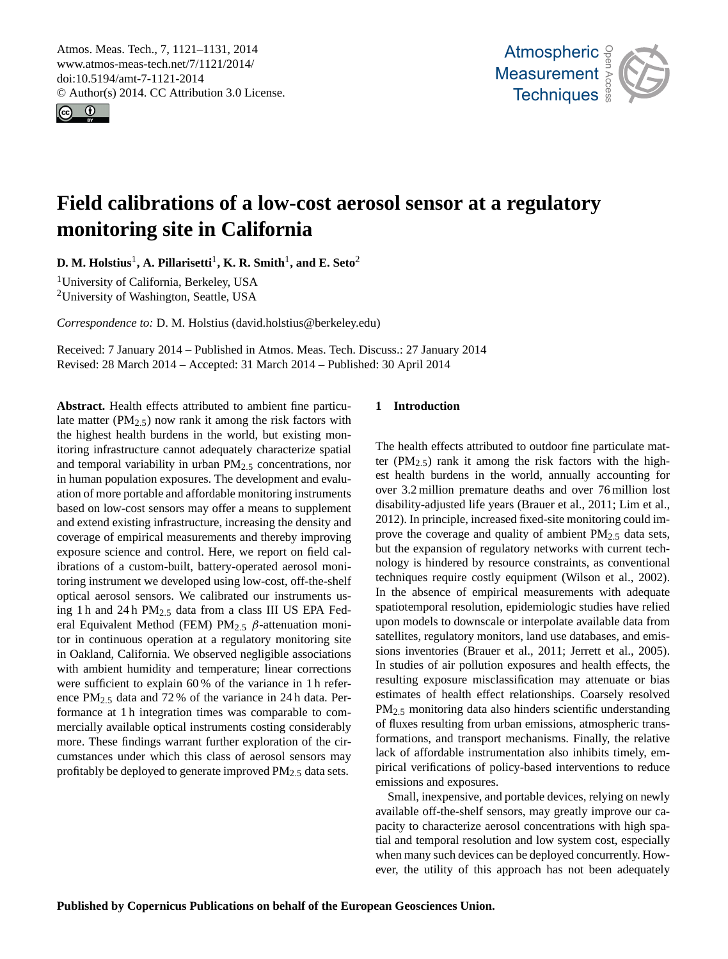<span id="page-0-0"></span>Atmos. Meas. Tech., 7, 1121–1131, 2014 www.atmos-meas-tech.net/7/1121/2014/ doi:10.5194/amt-7-1121-2014 © Author(s) 2014. CC Attribution 3.0 License.





# **Field calibrations of a low-cost aerosol sensor at a regulatory monitoring site in California**

**D. M. Holstius**<sup>1</sup> **, A. Pillarisetti**<sup>1</sup> **, K. R. Smith**<sup>1</sup> **, and E. Seto**<sup>2</sup>

<sup>1</sup>University of California, Berkeley, USA <sup>2</sup>University of Washington, Seattle, USA

*Correspondence to:* D. M. Holstius (david.holstius@berkeley.edu)

Received: 7 January 2014 – Published in Atmos. Meas. Tech. Discuss.: 27 January 2014 Revised: 28 March 2014 – Accepted: 31 March 2014 – Published: 30 April 2014

**Abstract.** Health effects attributed to ambient fine particulate matter ( $PM_{2.5}$ ) now rank it among the risk factors with the highest health burdens in the world, but existing monitoring infrastructure cannot adequately characterize spatial and temporal variability in urban  $PM_{2.5}$  concentrations, nor in human population exposures. The development and evaluation of more portable and affordable monitoring instruments based on low-cost sensors may offer a means to supplement and extend existing infrastructure, increasing the density and coverage of empirical measurements and thereby improving exposure science and control. Here, we report on field calibrations of a custom-built, battery-operated aerosol monitoring instrument we developed using low-cost, off-the-shelf optical aerosol sensors. We calibrated our instruments using 1 h and 24 h PM2.<sup>5</sup> data from a class III US EPA Federal Equivalent Method (FEM) PM<sub>2.5</sub>  $\beta$ -attenuation monitor in continuous operation at a regulatory monitoring site in Oakland, California. We observed negligible associations with ambient humidity and temperature; linear corrections were sufficient to explain 60 % of the variance in 1 h reference PM2.<sup>5</sup> data and 72 % of the variance in 24 h data. Performance at 1 h integration times was comparable to commercially available optical instruments costing considerably more. These findings warrant further exploration of the circumstances under which this class of aerosol sensors may profitably be deployed to generate improved  $PM_{2.5}$  data sets.

# **1 Introduction**

The health effects attributed to outdoor fine particulate matter  $(PM_{2.5})$  rank it among the risk factors with the highest health burdens in the world, annually accounting for over 3.2 million premature deaths and over 76 million lost disability-adjusted life years (Brauer et al., 2011; Lim et al., 2012). In principle, increased fixed-site monitoring could improve the coverage and quality of ambient  $PM_{2.5}$  data sets, but the expansion of regulatory networks with current technology is hindered by resource constraints, as conventional techniques require costly equipment (Wilson et al., 2002). In the absence of empirical measurements with adequate spatiotemporal resolution, epidemiologic studies have relied upon models to downscale or interpolate available data from satellites, regulatory monitors, land use databases, and emissions inventories (Brauer et al., 2011; Jerrett et al., 2005). In studies of air pollution exposures and health effects, the resulting exposure misclassification may attenuate or bias estimates of health effect relationships. Coarsely resolved PM2.<sup>5</sup> monitoring data also hinders scientific understanding of fluxes resulting from urban emissions, atmospheric transformations, and transport mechanisms. Finally, the relative lack of affordable instrumentation also inhibits timely, empirical verifications of policy-based interventions to reduce emissions and exposures.

Small, inexpensive, and portable devices, relying on newly available off-the-shelf sensors, may greatly improve our capacity to characterize aerosol concentrations with high spatial and temporal resolution and low system cost, especially when many such devices can be deployed concurrently. However, the utility of this approach has not been adequately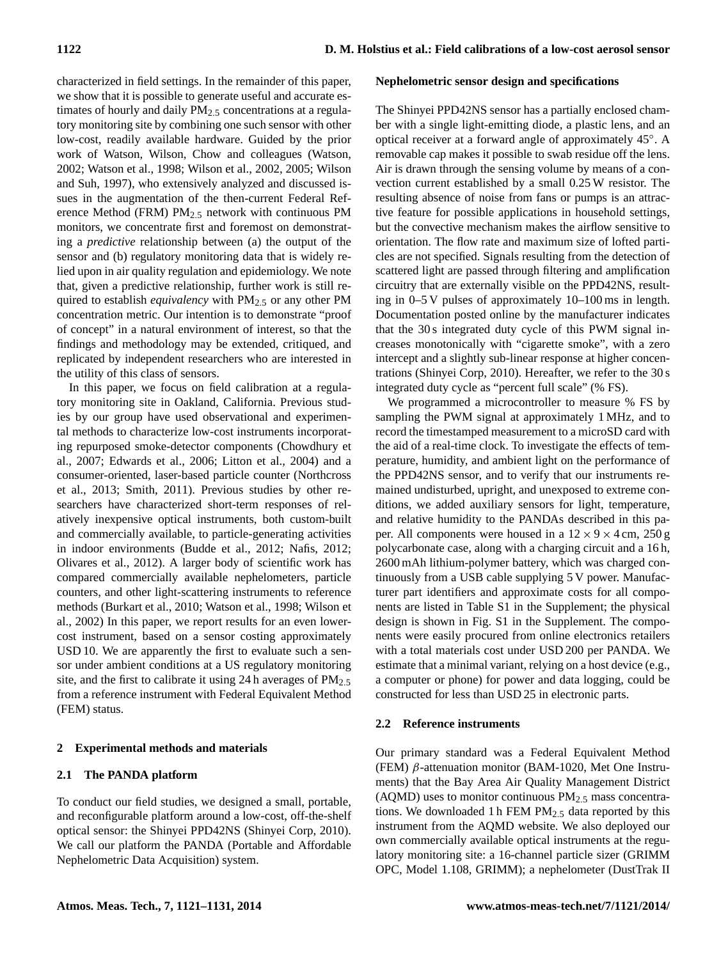characterized in field settings. In the remainder of this paper, we show that it is possible to generate useful and accurate estimates of hourly and daily  $PM<sub>2.5</sub>$  concentrations at a regulatory monitoring site by combining one such sensor with other low-cost, readily available hardware. Guided by the prior work of Watson, Wilson, Chow and colleagues (Watson, 2002; Watson et al., 1998; Wilson et al., 2002, 2005; Wilson and Suh, 1997), who extensively analyzed and discussed issues in the augmentation of the then-current Federal Reference Method (FRM) PM2.<sup>5</sup> network with continuous PM monitors, we concentrate first and foremost on demonstrating a *predictive* relationship between (a) the output of the sensor and (b) regulatory monitoring data that is widely relied upon in air quality regulation and epidemiology. We note that, given a predictive relationship, further work is still required to establish *equivalency* with PM2.<sup>5</sup> or any other PM concentration metric. Our intention is to demonstrate "proof of concept" in a natural environment of interest, so that the findings and methodology may be extended, critiqued, and replicated by independent researchers who are interested in the utility of this class of sensors.

In this paper, we focus on field calibration at a regulatory monitoring site in Oakland, California. Previous studies by our group have used observational and experimental methods to characterize low-cost instruments incorporating repurposed smoke-detector components (Chowdhury et al., 2007; Edwards et al., 2006; Litton et al., 2004) and a consumer-oriented, laser-based particle counter (Northcross et al., 2013; Smith, 2011). Previous studies by other researchers have characterized short-term responses of relatively inexpensive optical instruments, both custom-built and commercially available, to particle-generating activities in indoor environments (Budde et al., 2012; Nafis, 2012; Olivares et al., 2012). A larger body of scientific work has compared commercially available nephelometers, particle counters, and other light-scattering instruments to reference methods (Burkart et al., 2010; Watson et al., 1998; Wilson et al., 2002) In this paper, we report results for an even lowercost instrument, based on a sensor costing approximately USD 10. We are apparently the first to evaluate such a sensor under ambient conditions at a US regulatory monitoring site, and the first to calibrate it using 24 h averages of  $PM_{2.5}$ from a reference instrument with Federal Equivalent Method (FEM) status.

# **2 Experimental methods and materials**

#### **2.1 The PANDA platform**

To conduct our field studies, we designed a small, portable, and reconfigurable platform around a low-cost, off-the-shelf optical sensor: the Shinyei PPD42NS (Shinyei Corp, 2010). We call our platform the PANDA (Portable and Affordable Nephelometric Data Acquisition) system.

#### **Nephelometric sensor design and specifications**

The Shinyei PPD42NS sensor has a partially enclosed chamber with a single light-emitting diode, a plastic lens, and an optical receiver at a forward angle of approximately 45◦ . A removable cap makes it possible to swab residue off the lens. Air is drawn through the sensing volume by means of a convection current established by a small 0.25 W resistor. The resulting absence of noise from fans or pumps is an attractive feature for possible applications in household settings, but the convective mechanism makes the airflow sensitive to orientation. The flow rate and maximum size of lofted particles are not specified. Signals resulting from the detection of scattered light are passed through filtering and amplification circuitry that are externally visible on the PPD42NS, resulting in 0–5 V pulses of approximately 10–100 ms in length. Documentation posted online by the manufacturer indicates that the 30 s integrated duty cycle of this PWM signal increases monotonically with "cigarette smoke", with a zero intercept and a slightly sub-linear response at higher concentrations (Shinyei Corp, 2010). Hereafter, we refer to the 30 s integrated duty cycle as "percent full scale" (% FS).

We programmed a microcontroller to measure % FS by sampling the PWM signal at approximately 1 MHz, and to record the timestamped measurement to a microSD card with the aid of a real-time clock. To investigate the effects of temperature, humidity, and ambient light on the performance of the PPD42NS sensor, and to verify that our instruments remained undisturbed, upright, and unexposed to extreme conditions, we added auxiliary sensors for light, temperature, and relative humidity to the PANDAs described in this paper. All components were housed in a  $12 \times 9 \times 4$  cm,  $250 g$ polycarbonate case, along with a charging circuit and a 16 h, 2600 mAh lithium-polymer battery, which was charged continuously from a USB cable supplying 5 V power. Manufacturer part identifiers and approximate costs for all components are listed in Table S1 in the Supplement; the physical design is shown in Fig. S1 in the Supplement. The components were easily procured from online electronics retailers with a total materials cost under USD 200 per PANDA. We estimate that a minimal variant, relying on a host device (e.g., a computer or phone) for power and data logging, could be constructed for less than USD 25 in electronic parts.

#### **2.2 Reference instruments**

Our primary standard was a Federal Equivalent Method (FEM)  $\beta$ -attenuation monitor (BAM-1020, Met One Instruments) that the Bay Area Air Quality Management District (AQMD) uses to monitor continuous  $PM_{2.5}$  mass concentrations. We downloaded 1 h FEM  $PM_{2.5}$  data reported by this instrument from the AQMD website. We also deployed our own commercially available optical instruments at the regulatory monitoring site: a 16-channel particle sizer (GRIMM OPC, Model 1.108, GRIMM); a nephelometer (DustTrak II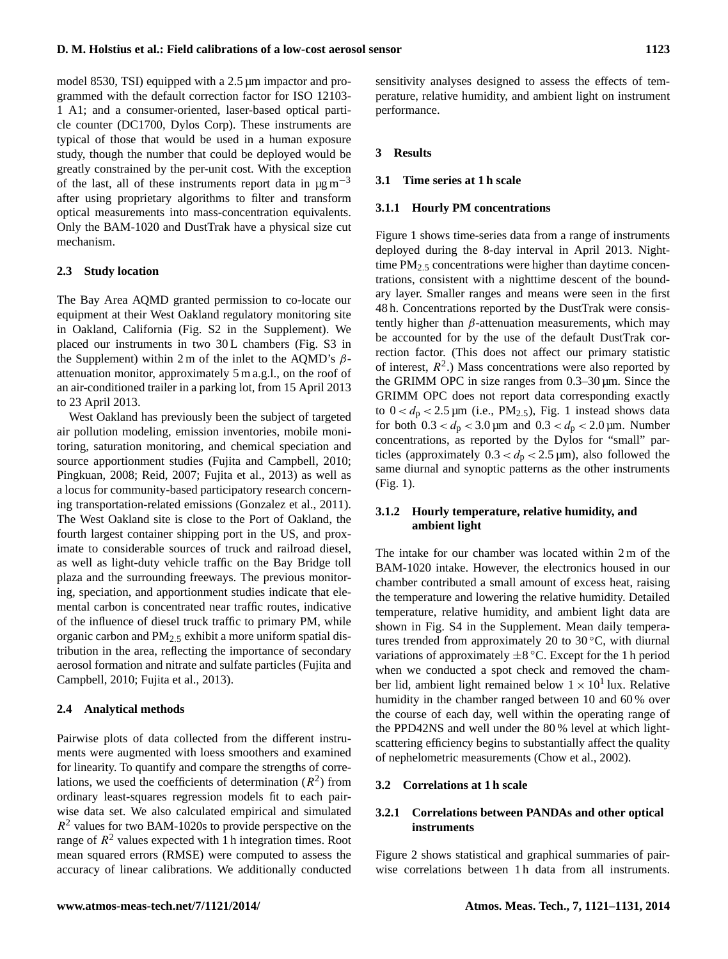model 8530, TSI) equipped with a 2.5  $\mu$ m impactor and programmed with the default correction factor for ISO 12103- 1 A1; and a consumer-oriented, laser-based optical particle counter (DC1700, Dylos Corp). These instruments are typical of those that would be used in a human exposure study, though the number that could be deployed would be greatly constrained by the per-unit cost. With the exception of the last, all of these instruments report data in  $\mu$ g m<sup>-3</sup> after using proprietary algorithms to filter and transform optical measurements into mass-concentration equivalents. Only the BAM-1020 and DustTrak have a physical size cut mechanism.

### **2.3 Study location**

The Bay Area AQMD granted permission to co-locate our equipment at their West Oakland regulatory monitoring site in Oakland, California (Fig. S2 in the Supplement). We placed our instruments in two 30 L chambers (Fig. S3 in the Supplement) within 2 m of the inlet to the AQMD's  $\beta$ attenuation monitor, approximately 5 m a.g.l., on the roof of an air-conditioned trailer in a parking lot, from 15 April 2013 to 23 April 2013.

West Oakland has previously been the subject of targeted air pollution modeling, emission inventories, mobile monitoring, saturation monitoring, and chemical speciation and source apportionment studies (Fujita and Campbell, 2010; Pingkuan, 2008; Reid, 2007; Fujita et al., 2013) as well as a locus for community-based participatory research concerning transportation-related emissions (Gonzalez et al., 2011). The West Oakland site is close to the Port of Oakland, the fourth largest container shipping port in the US, and proximate to considerable sources of truck and railroad diesel, as well as light-duty vehicle traffic on the Bay Bridge toll plaza and the surrounding freeways. The previous monitoring, speciation, and apportionment studies indicate that elemental carbon is concentrated near traffic routes, indicative of the influence of diesel truck traffic to primary PM, while organic carbon and PM2.<sup>5</sup> exhibit a more uniform spatial distribution in the area, reflecting the importance of secondary aerosol formation and nitrate and sulfate particles (Fujita and Campbell, 2010; Fujita et al., 2013).

### **2.4 Analytical methods**

Pairwise plots of data collected from the different instruments were augmented with loess smoothers and examined for linearity. To quantify and compare the strengths of correlations, we used the coefficients of determination  $(R^2)$  from ordinary least-squares regression models fit to each pairwise data set. We also calculated empirical and simulated  $R<sup>2</sup>$  values for two BAM-1020s to provide perspective on the range of  $R^2$  values expected with 1 h integration times. Root mean squared errors (RMSE) were computed to assess the accuracy of linear calibrations. We additionally conducted sensitivity analyses designed to assess the effects of temperature, relative humidity, and ambient light on instrument performance.

#### **3 Results**

#### **3.1 Time series at 1 h scale**

#### **3.1.1 Hourly PM concentrations**

Figure 1 shows time-series data from a range of instruments deployed during the 8-day interval in April 2013. Nighttime PM<sub>2.5</sub> concentrations were higher than daytime concentrations, consistent with a nighttime descent of the boundary layer. Smaller ranges and means were seen in the first 48 h. Concentrations reported by the DustTrak were consistently higher than  $\beta$ -attenuation measurements, which may be accounted for by the use of the default DustTrak correction factor. (This does not affect our primary statistic of interest,  $R^2$ .) Mass concentrations were also reported by the GRIMM OPC in size ranges from 0.3–30 µm. Since the GRIMM OPC does not report data corresponding exactly to  $0 < d_p < 2.5 \,\text{\mu m}$  (i.e., PM<sub>2.5</sub>), Fig. 1 instead shows data for both  $0.3 < d_p < 3.0 \,\text{\mu m}$  and  $0.3 < d_p < 2.0 \,\text{\mu m}$ . Number concentrations, as reported by the Dylos for "small" particles (approximately  $0.3 < d_p < 2.5 \text{ }\mu\text{m}$ ), also followed the same diurnal and synoptic patterns as the other instruments (Fig. 1).

# **3.1.2 Hourly temperature, relative humidity, and ambient light**

The intake for our chamber was located within 2 m of the BAM-1020 intake. However, the electronics housed in our chamber contributed a small amount of excess heat, raising the temperature and lowering the relative humidity. Detailed temperature, relative humidity, and ambient light data are shown in Fig. S4 in the Supplement. Mean daily temperatures trended from approximately 20 to  $30^{\circ}$ C, with diurnal variations of approximately  $\pm 8$  °C. Except for the 1 h period when we conducted a spot check and removed the chamber lid, ambient light remained below  $1 \times 10^1$  lux. Relative humidity in the chamber ranged between 10 and 60 % over the course of each day, well within the operating range of the PPD42NS and well under the 80 % level at which lightscattering efficiency begins to substantially affect the quality of nephelometric measurements (Chow et al., 2002).

#### **3.2 Correlations at 1 h scale**

# **3.2.1 Correlations between PANDAs and other optical instruments**

Figure 2 shows statistical and graphical summaries of pairwise correlations between 1 h data from all instruments.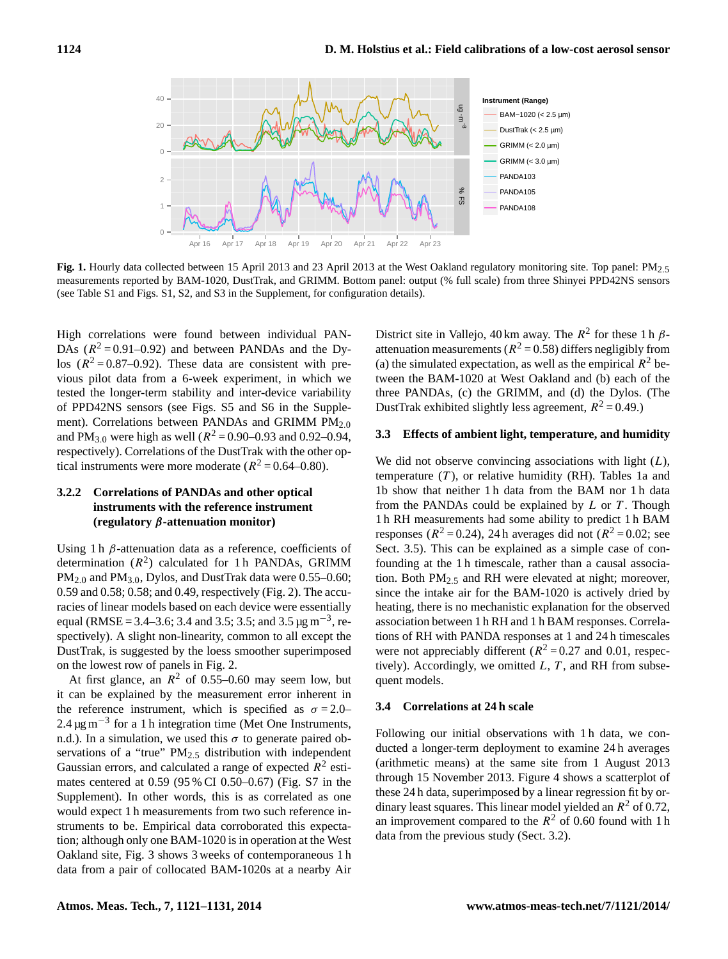

(see Table S1 and Figs. S1, S2, and S3 in the Supplement, for configuration details). **Fig. 1.** Hourly data collected between 15 April 2013 and 23 April 2013 at the West Oakland regulatory monitoring site. Top panel: PM<sub>2.5</sub> measurements reported by BAM-1020, DustTrak, and GRIMM. Bottom panel: output (% full scale) from three Shinyei PPD42NS sensors

DAs  $(R^2 = 0.91 - 0.92)$  and between PANDAs and the Dy-High correlations were found between individual PANlos  $(R^2 = 0.87 - 0.92)$ . These data are consistent with previous pilot data from a 6-week experiment, in which we tested the longer-term stability and inter-device variability of PPD42NS sensors (see Figs. S5 and S6 in the Supplement). Correlations between PANDAs and GRIMM  $PM_{2,0}$ and PM<sub>3.0</sub> were high as well ( $R^2 = 0.90 - 0.93$  and 0.92-0.94, respectively). Correlations of the DustTrak with the other optical instruments were more moderate  $(R^2 = 0.64 - 0.80)$ .

# **3.2.2 Correlations of PANDAs and other optical instruments with the reference instrument (regulatory** β**-attenuation monitor)**

Using 1 h  $\beta$ -attenuation data as a reference, coefficients of determination  $(R^2)$  calculated for 1h PANDAs, GRIMM  $PM_{2.0}$  and  $PM_{3.0}$ , Dylos, and DustTrak data were 0.55–0.60; 0.59 and 0.58; 0.58; and 0.49, respectively (Fig. 2). The accuracies of linear models based on each device were essentially equal (RMSE = 3.4–3.6; 3.4 and 3.5; 3.5; and 3.5  $\mu$ g m<sup>-3</sup>, respectively). A slight non-linearity, common to all except the DustTrak, is suggested by the loess smoother superimposed on the lowest row of panels in Fig. 2.

At first glance, an  $R^2$  of 0.55–0.60 may seem low, but it can be explained by the measurement error inherent in the reference instrument, which is specified as  $\sigma = 2.0$ – 2.4  $\mu$ g m<sup>-3</sup> for a 1 h integration time (Met One Instruments, n.d.). In a simulation, we used this  $\sigma$  to generate paired observations of a "true"  $PM_{2.5}$  distribution with independent Gaussian errors, and calculated a range of expected  $R^2$  estimates centered at 0.59 (95 % CI 0.50–0.67) (Fig. S7 in the Supplement). In other words, this is as correlated as one would expect 1 h measurements from two such reference instruments to be. Empirical data corroborated this expectation; although only one BAM-1020 is in operation at the West Oakland site, Fig. 3 shows 3 weeks of contemporaneous 1 h data from a pair of collocated BAM-1020s at a nearby Air

rrelations were found between individual PAN- District site in Vallejo, 40 km away. The  $R^2$  for these 1 h  $\beta$ attenuation measurements ( $R^2 = 0.58$ ) differs negligibly from (a) the simulated expectation, as well as the empirical  $R^2$  between the BAM-1020 at West Oakland and (b) each of the three PANDAs, (c) the GRIMM, and (d) the Dylos. (The DustTrak exhibited slightly less agreement,  $R^2 = 0.49$ .)

# **3.3 Effects of ambient light, temperature, and humidity**

We did not observe convincing associations with light  $(L)$ , temperature  $(T)$ , or relative humidity (RH). Tables 1a and 1b show that neither 1 h data from the BAM nor 1 h data from the PANDAs could be explained by  $L$  or  $T$ . Though 1 h RH measurements had some ability to predict 1 h BAM responses ( $R^2 = 0.24$ ), 24 h averages did not ( $R^2 = 0.02$ ; see Sect. 3.5). This can be explained as a simple case of confounding at the 1 h timescale, rather than a causal association. Both PM<sub>2.5</sub> and RH were elevated at night; moreover, since the intake air for the BAM-1020 is actively dried by heating, there is no mechanistic explanation for the observed association between 1 h RH and 1 h BAM responses. Correlations of RH with PANDA responses at 1 and 24 h timescales were not appreciably different ( $R^2 = 0.27$  and 0.01, respectively). Accordingly, we omitted  $L, T$ , and RH from subsequent models.

### **3.4 Correlations at 24 h scale**

Following our initial observations with 1 h data, we conducted a longer-term deployment to examine 24 h averages (arithmetic means) at the same site from 1 August 2013 through 15 November 2013. Figure 4 shows a scatterplot of these 24 h data, superimposed by a linear regression fit by ordinary least squares. This linear model yielded an  $R^2$  of 0.72, an improvement compared to the  $R^2$  of 0.60 found with 1 h data from the previous study (Sect. 3.2).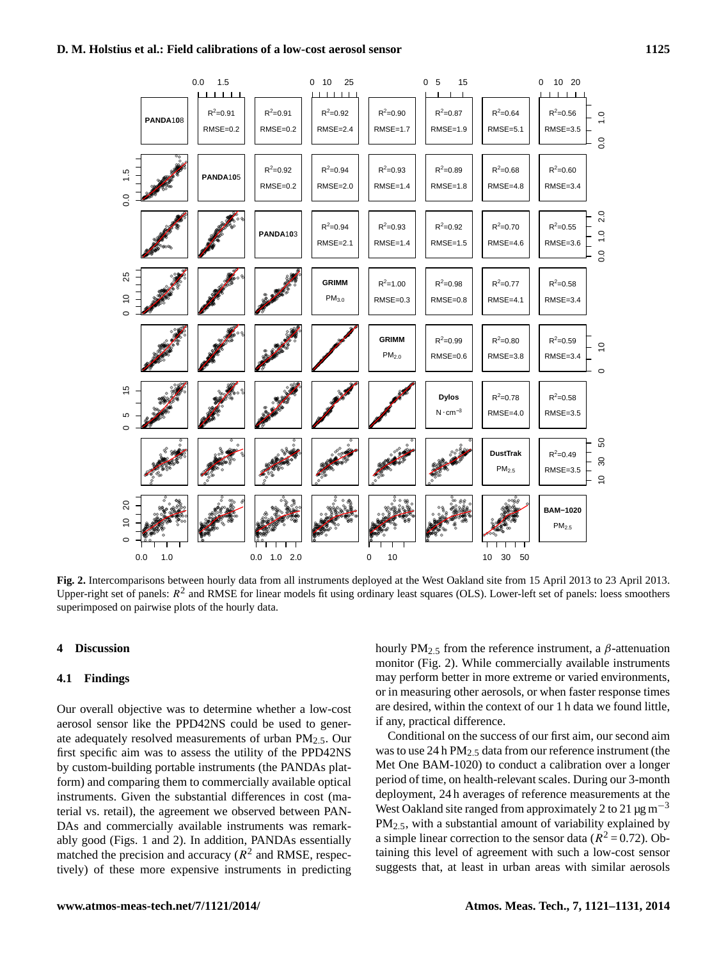

**Fig. 2.** Intercomparisons between hourly data from all instruments deployed at the West Oakland site from 15 April 2013 to 23 April 2013. Upper-right set of panels:  $R^2$  and RMSE for linear models fit using ordinary least squares (OLS). Lower-left set of panels: loess smoothers superimposed on pairwise plots of the hourly data.

Fig. 2. Intercomparisons between hourly data from all instruments deployed at the West Oakland site from 15

# April 2013 to 23 April 2013. Upper-right set of panels: R **4 Discussion**

#### **4.1 Findings**

Our overall objective was to determine whether a low-cost aerosol sensor like the PPD42NS could be used to generate adequately resolved measurements of urban PM2.5. Our first specific aim was to assess the utility of the PPD42NS by custom-building portable instruments (the PANDAs platform) and comparing them to commercially available optical instruments. Given the substantial differences in cost (material vs. retail), the agreement we observed between PAN-DAs and commercially available instruments was remarkably good (Figs. 1 and 2). In addition, PANDAs essentially matched the precision and accuracy ( $R^2$  and RMSE, respectively) of these more expensive instruments in predicting

hourly PM<sub>2.5</sub> from the reference instrument, a  $\beta$ -attenuation source (OLS). The extreme or variable instruments<br>and part of part of part of the hourleft set of the hourleft set of the hourleft superform better in more extreme or varied environments, monitor (Fig. 2). While commercially available instruments or in measuring other aerosols, or when faster response times are desired, within the context of our 1 h data we found little, if any, practical difference.

> Conditional on the success of our first aim, our second aim was to use 24 h  $PM_{2.5}$  data from our reference instrument (the Met One BAM-1020) to conduct a calibration over a longer period of time, on health-relevant scales. During our 3-month deployment, 24 h averages of reference measurements at the West Oakland site ranged from approximately 2 to 21  $\mu$ g m<sup>-3</sup> PM<sub>2.5</sub>, with a substantial amount of variability explained by a simple linear correction to the sensor data ( $R^2 = 0.72$ ). Obtaining this level of agreement with such a low-cost sensor suggests that, at least in urban areas with similar aerosols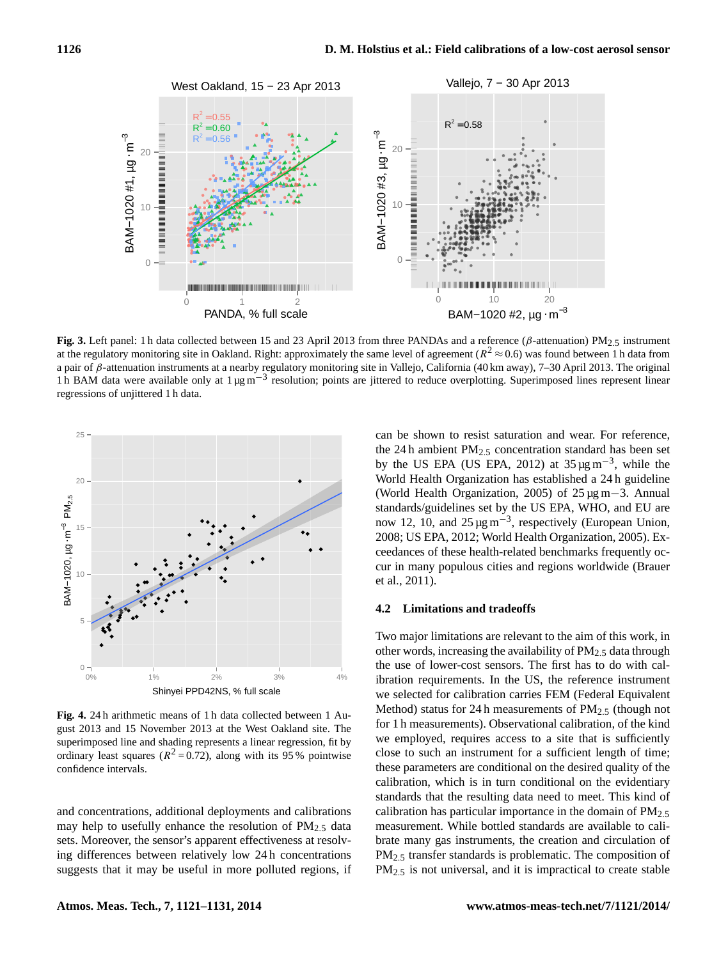

a pair of  $\beta$ -attenuation instruments at a nearby regulatory monitoring site in Vallejo, California (40 km away), 7-30 April 2013. The original PM2.5 instruments of a regulatory monitoring site in the same level of a reduce of a personal posed the supposed in **Fig. 3.** Left panel: 1 h data collected between 15 and 23 April 2013 from three PANDAs and a reference (β-attenuation) PM2.5 instrument at the regulatory monitoring site in Oakland. Right: approximately the same level of agreement ( $R^2$   $\approx$  0.6) was found between 1 h data from 1 h BAM data were available only at 1 µg m−<sup>3</sup> resolution; points are jittered to reduce overplotting. Superimposed lines represent linear



**Fig. 4.** 24 h arithmetic means of 1 h data collected between 1 August 2013 and 15 November 2013 at the West Oakland site. The superimposed line and shading represents a linear regression, fit by ordinary least squares ( $R^2 = 0.72$ ), along with its 95% pointwise confidence intervals.

and concentrations, additional deployments and calibrations may help to usefully enhance the resolution of  $PM_{2.5}$  data sets. Moreover, the sensor's apparent effectiveness at resolving differences between relatively low 24 h concentrations suggests that it may be useful in more polluted regions, if

 $\frac{m_2}{m_1}$  by the US EPA (US EPA, 2012) at 35  $\mu$ g m<sup>-3</sup>, while the the 24 h ambient  $PM_{2.5}$  concentration standard has been set World Health Organization has established a 24 h guideline (World Health Organization, 2005) of 25 µg m−3. Annual standards/guidelines set by the US EPA, WHO, and EU are now 12, 10, and  $25 \mu g m^{-3}$ , respectively (European Union, 2008; US EPA, 2012; World Health Organization, 2005). Exceedances of these health-related benchmarks frequently occur in many populous cities and regions worldwide (Brauer et al., 2011).

# **4.2 Limitations and tradeoffs**

Two major limitations are relevant to the aim of this work, in other words, increasing the availability of  $PM_{2.5}$  data through the use of lower-cost sensors. The first has to do with calibration requirements. In the US, the reference instrument we selected for calibration carries FEM (Federal Equivalent Method) status for 24 h measurements of  $PM_{2.5}$  (though not for 1 h measurements). Observational calibration, of the kind we employed, requires access to a site that is sufficiently close to such an instrument for a sufficient length of time; these parameters are conditional on the desired quality of the calibration, which is in turn conditional on the evidentiary standards that the resulting data need to meet. This kind of calibration has particular importance in the domain of  $PM<sub>2.5</sub>$ measurement. While bottled standards are available to calibrate many gas instruments, the creation and circulation of PM2.<sup>5</sup> transfer standards is problematic. The composition of PM<sub>2.5</sub> is not universal, and it is impractical to create stable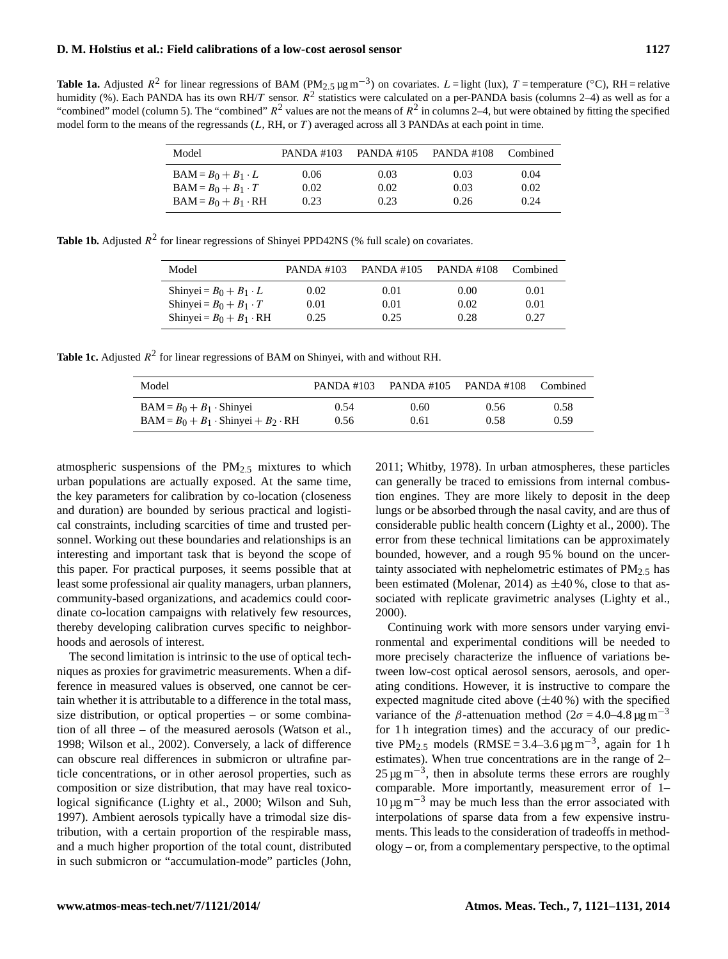**Table 1a.** Adjusted  $R^2$  for linear regressions of BAM (PM<sub>2.5</sub> µg m<sup>-3</sup>) on covariates. L = light (lux), T = temperature (°C), RH = relative humidity (%). Each PANDA has its own RH/T sensor.  $R^2$  statistics were calculated on a per-PANDA basis (columns 2–4) as well as for a "combined" model (column 5). The "combined"  $R^2$  values are not the means of  $R^2$  in columns 2–4, but were obtained by fitting the specified model form to the means of the regressands  $(L, RH, or T)$  averaged across all 3 PANDAs at each point in time.

| Model                      | PANDA #103 | <b>PANDA</b> #105 | PANDA #108 | Combined |
|----------------------------|------------|-------------------|------------|----------|
| $BAM = B_0 + B_1 \cdot L$  | 0.06       | 0.03              | 0.03       | 0.04     |
| $BAM = B_0 + B_1 \cdot T$  | 0.02       | 0.02              | 0.03       | 0.02     |
| $BAM = B_0 + B_1 \cdot RH$ | 0.23       | 0.23              | 0.26       | 0.24     |

**Table 1b.** Adjusted  $R^2$  for linear regressions of Shinyei PPD42NS (% full scale) on covariates.

| Model                          | PANDA $#103$ | <b>PANDA</b> #105 | PANDA $#108$ | Combined |
|--------------------------------|--------------|-------------------|--------------|----------|
| Shinyei = $B_0 + B_1 \cdot L$  | 0.02         | 0.01              | 0.00         | 0.01     |
| Shinyei = $B_0 + B_1 \cdot T$  | 0.01         | 0.01              | 0.02         | 0.01     |
| Shinyei = $B_0 + B_1 \cdot RH$ | 0.25         | 0.25              | 0.28         | 0.27     |

**Table 1c.** Adjusted  $R^2$  for linear regressions of BAM on Shinyei, with and without RH.

| Model                                            | PANDA $#103$ | <b>PANDA #105</b> | PANDA #108 | Combined |
|--------------------------------------------------|--------------|-------------------|------------|----------|
| $BAM = B_0 + B_1 \cdot$ Shinyei                  | 0.54         | 0.60              | 0.56       | 0.58     |
| $BAM = B_0 + B_1 \cdot$ Shinyei + $B_2 \cdot RH$ | 0.56         | 0.61              | 0.58       | 0.59     |

atmospheric suspensions of the  $PM_{2.5}$  mixtures to which urban populations are actually exposed. At the same time, the key parameters for calibration by co-location (closeness and duration) are bounded by serious practical and logistical constraints, including scarcities of time and trusted personnel. Working out these boundaries and relationships is an interesting and important task that is beyond the scope of this paper. For practical purposes, it seems possible that at least some professional air quality managers, urban planners, community-based organizations, and academics could coordinate co-location campaigns with relatively few resources, thereby developing calibration curves specific to neighborhoods and aerosols of interest.

The second limitation is intrinsic to the use of optical techniques as proxies for gravimetric measurements. When a difference in measured values is observed, one cannot be certain whether it is attributable to a difference in the total mass, size distribution, or optical properties – or some combination of all three – of the measured aerosols (Watson et al., 1998; Wilson et al., 2002). Conversely, a lack of difference can obscure real differences in submicron or ultrafine particle concentrations, or in other aerosol properties, such as composition or size distribution, that may have real toxicological significance (Lighty et al., 2000; Wilson and Suh, 1997). Ambient aerosols typically have a trimodal size distribution, with a certain proportion of the respirable mass, and a much higher proportion of the total count, distributed in such submicron or "accumulation-mode" particles (John, 2011; Whitby, 1978). In urban atmospheres, these particles can generally be traced to emissions from internal combustion engines. They are more likely to deposit in the deep lungs or be absorbed through the nasal cavity, and are thus of considerable public health concern (Lighty et al., 2000). The error from these technical limitations can be approximately bounded, however, and a rough 95 % bound on the uncertainty associated with nephelometric estimates of  $PM_{2.5}$  has been estimated (Molenar, 2014) as  $\pm 40$ %, close to that associated with replicate gravimetric analyses (Lighty et al., 2000).

Continuing work with more sensors under varying environmental and experimental conditions will be needed to more precisely characterize the influence of variations between low-cost optical aerosol sensors, aerosols, and operating conditions. However, it is instructive to compare the expected magnitude cited above  $(\pm 40\%)$  with the specified variance of the *β*-attenuation method ( $2\sigma = 4.0-4.8 \,\text{µg m}^{-3}$ for 1 h integration times) and the accuracy of our predictive PM<sub>2.5</sub> models (RMSE = 3.4–3.6 µg m<sup>-3</sup>, again for 1 h estimates). When true concentrations are in the range of 2–  $25 \mu g \text{ m}^{-3}$ , then in absolute terms these errors are roughly comparable. More importantly, measurement error of 1–  $10 \,\mu g \,\text{m}^{-3}$  may be much less than the error associated with interpolations of sparse data from a few expensive instruments. This leads to the consideration of tradeoffs in methodology – or, from a complementary perspective, to the optimal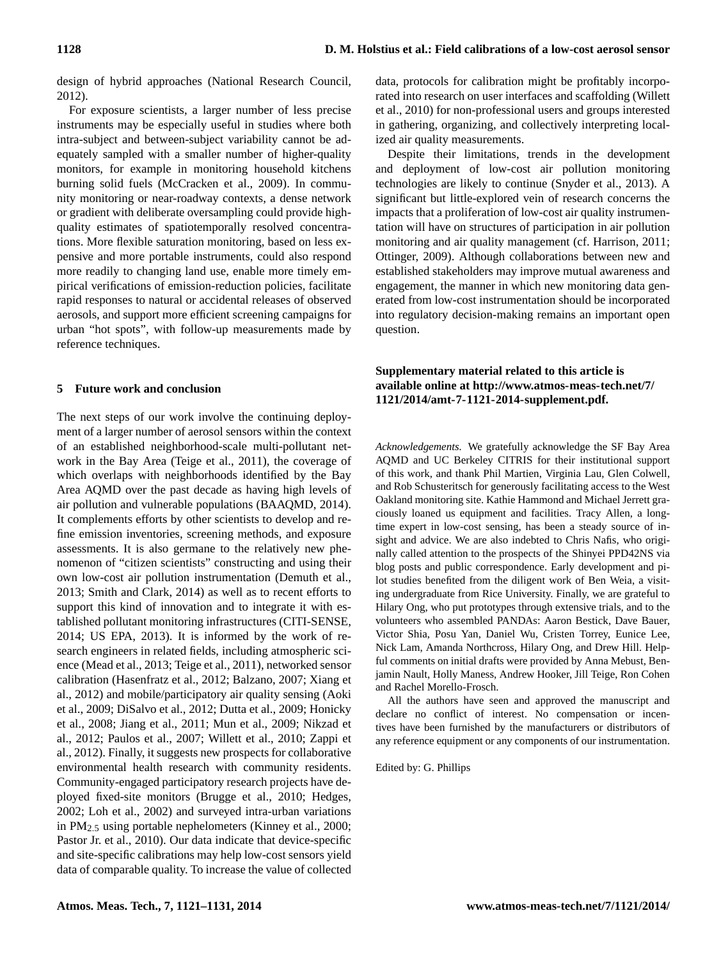design of hybrid approaches (National Research Council, 2012).

For exposure scientists, a larger number of less precise instruments may be especially useful in studies where both intra-subject and between-subject variability cannot be adequately sampled with a smaller number of higher-quality monitors, for example in monitoring household kitchens burning solid fuels (McCracken et al., 2009). In community monitoring or near-roadway contexts, a dense network or gradient with deliberate oversampling could provide highquality estimates of spatiotemporally resolved concentrations. More flexible saturation monitoring, based on less expensive and more portable instruments, could also respond more readily to changing land use, enable more timely empirical verifications of emission-reduction policies, facilitate rapid responses to natural or accidental releases of observed aerosols, and support more efficient screening campaigns for urban "hot spots", with follow-up measurements made by reference techniques.

# **5 Future work and conclusion**

The next steps of our work involve the continuing deployment of a larger number of aerosol sensors within the context of an established neighborhood-scale multi-pollutant network in the Bay Area (Teige et al., 2011), the coverage of which overlaps with neighborhoods identified by the Bay Area AQMD over the past decade as having high levels of air pollution and vulnerable populations (BAAQMD, 2014). It complements efforts by other scientists to develop and refine emission inventories, screening methods, and exposure assessments. It is also germane to the relatively new phenomenon of "citizen scientists" constructing and using their own low-cost air pollution instrumentation (Demuth et al., 2013; Smith and Clark, 2014) as well as to recent efforts to support this kind of innovation and to integrate it with established pollutant monitoring infrastructures (CITI-SENSE, 2014; US EPA, 2013). It is informed by the work of research engineers in related fields, including atmospheric science (Mead et al., 2013; Teige et al., 2011), networked sensor calibration (Hasenfratz et al., 2012; Balzano, 2007; Xiang et al., 2012) and mobile/participatory air quality sensing (Aoki et al., 2009; DiSalvo et al., 2012; Dutta et al., 2009; Honicky et al., 2008; Jiang et al., 2011; Mun et al., 2009; Nikzad et al., 2012; Paulos et al., 2007; Willett et al., 2010; Zappi et al., 2012). Finally, it suggests new prospects for collaborative environmental health research with community residents. Community-engaged participatory research projects have deployed fixed-site monitors (Brugge et al., 2010; Hedges, 2002; Loh et al., 2002) and surveyed intra-urban variations in PM2.<sup>5</sup> using portable nephelometers (Kinney et al., 2000; Pastor Jr. et al., 2010). Our data indicate that device-specific and site-specific calibrations may help low-cost sensors yield data of comparable quality. To increase the value of collected

data, protocols for calibration might be profitably incorporated into research on user interfaces and scaffolding (Willett et al., 2010) for non-professional users and groups interested in gathering, organizing, and collectively interpreting localized air quality measurements.

Despite their limitations, trends in the development and deployment of low-cost air pollution monitoring technologies are likely to continue (Snyder et al., 2013). A significant but little-explored vein of research concerns the impacts that a proliferation of low-cost air quality instrumentation will have on structures of participation in air pollution monitoring and air quality management (cf. Harrison, 2011; Ottinger, 2009). Although collaborations between new and established stakeholders may improve mutual awareness and engagement, the manner in which new monitoring data generated from low-cost instrumentation should be incorporated into regulatory decision-making remains an important open question.

# **Supplementary material related to this article is available online at [http://www.atmos-meas-tech.net/7/](http://www.atmos-meas-tech.net/7/1121/2014/amt-7-1121-2014-supplement.pdf) [1121/2014/amt-7-1121-2014-supplement.pdf.](http://www.atmos-meas-tech.net/7/1121/2014/amt-7-1121-2014-supplement.pdf)**

*Acknowledgements.* We gratefully acknowledge the SF Bay Area AQMD and UC Berkeley CITRIS for their institutional support of this work, and thank Phil Martien, Virginia Lau, Glen Colwell, and Rob Schusteritsch for generously facilitating access to the West Oakland monitoring site. Kathie Hammond and Michael Jerrett graciously loaned us equipment and facilities. Tracy Allen, a longtime expert in low-cost sensing, has been a steady source of insight and advice. We are also indebted to Chris Nafis, who originally called attention to the prospects of the Shinyei PPD42NS via blog posts and public correspondence. Early development and pilot studies benefited from the diligent work of Ben Weia, a visiting undergraduate from Rice University. Finally, we are grateful to Hilary Ong, who put prototypes through extensive trials, and to the volunteers who assembled PANDAs: Aaron Bestick, Dave Bauer, Victor Shia, Posu Yan, Daniel Wu, Cristen Torrey, Eunice Lee, Nick Lam, Amanda Northcross, Hilary Ong, and Drew Hill. Helpful comments on initial drafts were provided by Anna Mebust, Benjamin Nault, Holly Maness, Andrew Hooker, Jill Teige, Ron Cohen and Rachel Morello-Frosch.

All the authors have seen and approved the manuscript and declare no conflict of interest. No compensation or incentives have been furnished by the manufacturers or distributors of any reference equipment or any components of our instrumentation.

Edited by: G. Phillips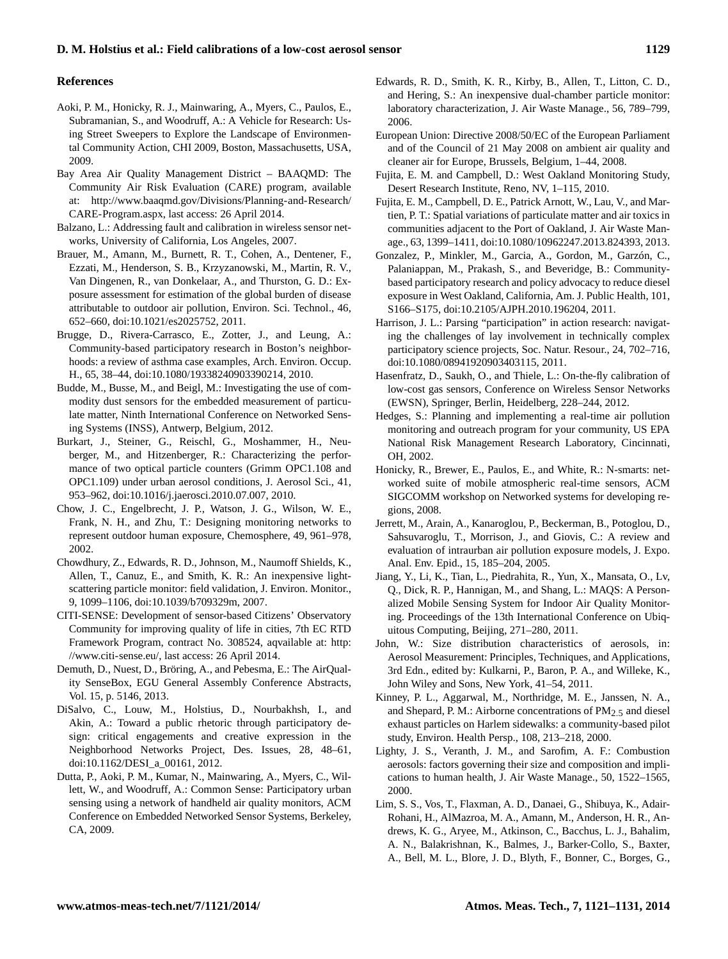# **References**

- Aoki, P. M., Honicky, R. J., Mainwaring, A., Myers, C., Paulos, E., Subramanian, S., and Woodruff, A.: A Vehicle for Research: Using Street Sweepers to Explore the Landscape of Environmental Community Action, CHI 2009, Boston, Massachusetts, USA, 2009.
- Bay Area Air Quality Management District BAAQMD: The Community Air Risk Evaluation (CARE) program, available at: [http://www.baaqmd.gov/Divisions/Planning-and-Research/](http://www.baaqmd.gov/Divisions/Planning-and-Research/CARE-Program.aspx) [CARE-Program.aspx,](http://www.baaqmd.gov/Divisions/Planning-and-Research/CARE-Program.aspx) last access: 26 April 2014.
- Balzano, L.: Addressing fault and calibration in wireless sensor networks, University of California, Los Angeles, 2007.
- Brauer, M., Amann, M., Burnett, R. T., Cohen, A., Dentener, F., Ezzati, M., Henderson, S. B., Krzyzanowski, M., Martin, R. V., Van Dingenen, R., van Donkelaar, A., and Thurston, G. D.: Exposure assessment for estimation of the global burden of disease attributable to outdoor air pollution, Environ. Sci. Technol., 46, 652–660, doi[:10.1021/es2025752,](http://dx.doi.org/10.1021/es2025752) 2011.
- Brugge, D., Rivera-Carrasco, E., Zotter, J., and Leung, A.: Community-based participatory research in Boston's neighborhoods: a review of asthma case examples, Arch. Environ. Occup. H., 65, 38–44, doi[:10.1080/19338240903390214,](http://dx.doi.org/10.1080/19338240903390214) 2010.
- Budde, M., Busse, M., and Beigl, M.: Investigating the use of commodity dust sensors for the embedded measurement of particulate matter, Ninth International Conference on Networked Sensing Systems (INSS), Antwerp, Belgium, 2012.
- Burkart, J., Steiner, G., Reischl, G., Moshammer, H., Neuberger, M., and Hitzenberger, R.: Characterizing the performance of two optical particle counters (Grimm OPC1.108 and OPC1.109) under urban aerosol conditions, J. Aerosol Sci., 41, 953–962, doi[:10.1016/j.jaerosci.2010.07.007,](http://dx.doi.org/10.1016/j.jaerosci.2010.07.007) 2010.
- Chow, J. C., Engelbrecht, J. P., Watson, J. G., Wilson, W. E., Frank, N. H., and Zhu, T.: Designing monitoring networks to represent outdoor human exposure, Chemosphere, 49, 961–978, 2002.
- Chowdhury, Z., Edwards, R. D., Johnson, M., Naumoff Shields, K., Allen, T., Canuz, E., and Smith, K. R.: An inexpensive lightscattering particle monitor: field validation, J. Environ. Monitor., 9, 1099–1106, doi[:10.1039/b709329m,](http://dx.doi.org/10.1039/b709329m) 2007.
- CITI-SENSE: Development of sensor-based Citizens' Observatory Community for improving quality of life in cities, 7th EC RTD Framework Program, contract No. 308524, aqvailable at: [http:](http://www.citi-sense.eu/) [//www.citi-sense.eu/,](http://www.citi-sense.eu/) last access: 26 April 2014.
- Demuth, D., Nuest, D., Bröring, A., and Pebesma, E.: The AirQuality SenseBox, EGU General Assembly Conference Abstracts, Vol. 15, p. 5146, 2013.
- DiSalvo, C., Louw, M., Holstius, D., Nourbakhsh, I., and Akin, A.: Toward a public rhetoric through participatory design: critical engagements and creative expression in the Neighborhood Networks Project, Des. Issues, 28, 48–61, doi[:10.1162/DESI\\_a\\_00161,](http://dx.doi.org/10.1162/DESI_a_00161) 2012.
- Dutta, P., Aoki, P. M., Kumar, N., Mainwaring, A., Myers, C., Willett, W., and Woodruff, A.: Common Sense: Participatory urban sensing using a network of handheld air quality monitors, ACM Conference on Embedded Networked Sensor Systems, Berkeley, CA, 2009.
- Edwards, R. D., Smith, K. R., Kirby, B., Allen, T., Litton, C. D., and Hering, S.: An inexpensive dual-chamber particle monitor: laboratory characterization, J. Air Waste Manage., 56, 789–799, 2006.
- European Union: Directive 2008/50/EC of the European Parliament and of the Council of 21 May 2008 on ambient air quality and cleaner air for Europe, Brussels, Belgium, 1–44, 2008.
- Fujita, E. M. and Campbell, D.: West Oakland Monitoring Study, Desert Research Institute, Reno, NV, 1–115, 2010.
- Fujita, E. M., Campbell, D. E., Patrick Arnott, W., Lau, V., and Martien, P. T.: Spatial variations of particulate matter and air toxics in communities adjacent to the Port of Oakland, J. Air Waste Manage., 63, 1399–1411, doi[:10.1080/10962247.2013.824393,](http://dx.doi.org/10.1080/10962247.2013.824393) 2013.
- Gonzalez, P., Minkler, M., Garcia, A., Gordon, M., Garzón, C., Palaniappan, M., Prakash, S., and Beveridge, B.: Communitybased participatory research and policy advocacy to reduce diesel exposure in West Oakland, California, Am. J. Public Health, 101, S166–S175, doi[:10.2105/AJPH.2010.196204,](http://dx.doi.org/10.2105/AJPH.2010.196204) 2011.
- Harrison, J. L.: Parsing "participation" in action research: navigating the challenges of lay involvement in technically complex participatory science projects, Soc. Natur. Resour., 24, 702–716, doi[:10.1080/08941920903403115,](http://dx.doi.org/10.1080/08941920903403115) 2011.
- Hasenfratz, D., Saukh, O., and Thiele, L.: On-the-fly calibration of low-cost gas sensors, Conference on Wireless Sensor Networks (EWSN), Springer, Berlin, Heidelberg, 228–244, 2012.
- Hedges, S.: Planning and implementing a real-time air pollution monitoring and outreach program for your community, US EPA National Risk Management Research Laboratory, Cincinnati, OH, 2002.
- Honicky, R., Brewer, E., Paulos, E., and White, R.: N-smarts: networked suite of mobile atmospheric real-time sensors, ACM SIGCOMM workshop on Networked systems for developing regions, 2008.
- Jerrett, M., Arain, A., Kanaroglou, P., Beckerman, B., Potoglou, D., Sahsuvaroglu, T., Morrison, J., and Giovis, C.: A review and evaluation of intraurban air pollution exposure models, J. Expo. Anal. Env. Epid., 15, 185–204, 2005.
- Jiang, Y., Li, K., Tian, L., Piedrahita, R., Yun, X., Mansata, O., Lv, Q., Dick, R. P., Hannigan, M., and Shang, L.: MAQS: A Personalized Mobile Sensing System for Indoor Air Quality Monitoring. Proceedings of the 13th International Conference on Ubiquitous Computing, Beijing, 271–280, 2011.
- John, W.: Size distribution characteristics of aerosols, in: Aerosol Measurement: Principles, Techniques, and Applications, 3rd Edn., edited by: Kulkarni, P., Baron, P. A., and Willeke, K., John Wiley and Sons, New York, 41–54, 2011.
- Kinney, P. L., Aggarwal, M., Northridge, M. E., Janssen, N. A., and Shepard, P. M.: Airborne concentrations of  $PM_{2.5}$  and diesel exhaust particles on Harlem sidewalks: a community-based pilot study, Environ. Health Persp., 108, 213–218, 2000.
- Lighty, J. S., Veranth, J. M., and Sarofim, A. F.: Combustion aerosols: factors governing their size and composition and implications to human health, J. Air Waste Manage., 50, 1522–1565, 2000.
- Lim, S. S., Vos, T., Flaxman, A. D., Danaei, G., Shibuya, K., Adair-Rohani, H., AlMazroa, M. A., Amann, M., Anderson, H. R., Andrews, K. G., Aryee, M., Atkinson, C., Bacchus, L. J., Bahalim, A. N., Balakrishnan, K., Balmes, J., Barker-Collo, S., Baxter, A., Bell, M. L., Blore, J. D., Blyth, F., Bonner, C., Borges, G.,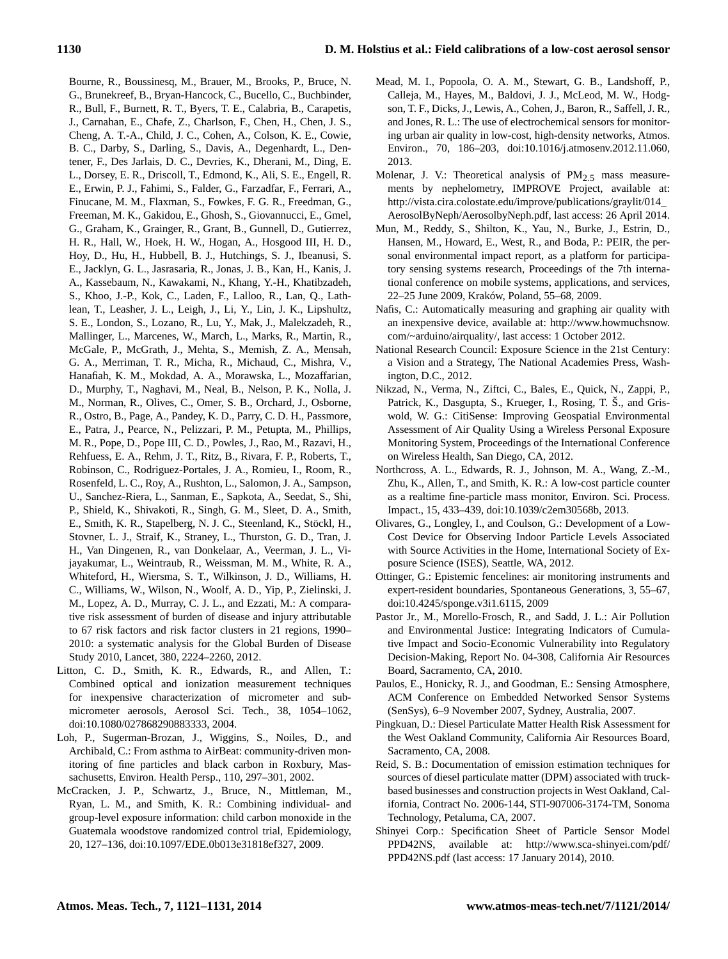Bourne, R., Boussinesq, M., Brauer, M., Brooks, P., Bruce, N. G., Brunekreef, B., Bryan-Hancock, C., Bucello, C., Buchbinder, R., Bull, F., Burnett, R. T., Byers, T. E., Calabria, B., Carapetis, J., Carnahan, E., Chafe, Z., Charlson, F., Chen, H., Chen, J. S., Cheng, A. T.-A., Child, J. C., Cohen, A., Colson, K. E., Cowie, B. C., Darby, S., Darling, S., Davis, A., Degenhardt, L., Dentener, F., Des Jarlais, D. C., Devries, K., Dherani, M., Ding, E. L., Dorsey, E. R., Driscoll, T., Edmond, K., Ali, S. E., Engell, R. E., Erwin, P. J., Fahimi, S., Falder, G., Farzadfar, F., Ferrari, A., Finucane, M. M., Flaxman, S., Fowkes, F. G. R., Freedman, G., Freeman, M. K., Gakidou, E., Ghosh, S., Giovannucci, E., Gmel, G., Graham, K., Grainger, R., Grant, B., Gunnell, D., Gutierrez, H. R., Hall, W., Hoek, H. W., Hogan, A., Hosgood III, H. D., Hoy, D., Hu, H., Hubbell, B. J., Hutchings, S. J., Ibeanusi, S. E., Jacklyn, G. L., Jasrasaria, R., Jonas, J. B., Kan, H., Kanis, J. A., Kassebaum, N., Kawakami, N., Khang, Y.-H., Khatibzadeh, S., Khoo, J.-P., Kok, C., Laden, F., Lalloo, R., Lan, Q., Lathlean, T., Leasher, J. L., Leigh, J., Li, Y., Lin, J. K., Lipshultz, S. E., London, S., Lozano, R., Lu, Y., Mak, J., Malekzadeh, R., Mallinger, L., Marcenes, W., March, L., Marks, R., Martin, R., McGale, P., McGrath, J., Mehta, S., Memish, Z. A., Mensah, G. A., Merriman, T. R., Micha, R., Michaud, C., Mishra, V., Hanafiah, K. M., Mokdad, A. A., Morawska, L., Mozaffarian, D., Murphy, T., Naghavi, M., Neal, B., Nelson, P. K., Nolla, J. M., Norman, R., Olives, C., Omer, S. B., Orchard, J., Osborne, R., Ostro, B., Page, A., Pandey, K. D., Parry, C. D. H., Passmore, E., Patra, J., Pearce, N., Pelizzari, P. M., Petupta, M., Phillips, M. R., Pope, D., Pope III, C. D., Powles, J., Rao, M., Razavi, H., Rehfuess, E. A., Rehm, J. T., Ritz, B., Rivara, F. P., Roberts, T., Robinson, C., Rodriguez-Portales, J. A., Romieu, I., Room, R., Rosenfeld, L. C., Roy, A., Rushton, L., Salomon, J. A., Sampson, U., Sanchez-Riera, L., Sanman, E., Sapkota, A., Seedat, S., Shi, P., Shield, K., Shivakoti, R., Singh, G. M., Sleet, D. A., Smith, E., Smith, K. R., Stapelberg, N. J. C., Steenland, K., Stöckl, H., Stovner, L. J., Straif, K., Straney, L., Thurston, G. D., Tran, J. H., Van Dingenen, R., van Donkelaar, A., Veerman, J. L., Vijayakumar, L., Weintraub, R., Weissman, M. M., White, R. A., Whiteford, H., Wiersma, S. T., Wilkinson, J. D., Williams, H. C., Williams, W., Wilson, N., Woolf, A. D., Yip, P., Zielinski, J. M., Lopez, A. D., Murray, C. J. L., and Ezzati, M.: A comparative risk assessment of burden of disease and injury attributable to 67 risk factors and risk factor clusters in 21 regions, 1990– 2010: a systematic analysis for the Global Burden of Disease Study 2010, Lancet, 380, 2224–2260, 2012.

- Litton, C. D., Smith, K. R., Edwards, R., and Allen, T.: Combined optical and ionization measurement techniques for inexpensive characterization of micrometer and submicrometer aerosols, Aerosol Sci. Tech., 38, 1054–1062, doi[:10.1080/027868290883333,](http://dx.doi.org/10.1080/027868290883333) 2004.
- Loh, P., Sugerman-Brozan, J., Wiggins, S., Noiles, D., and Archibald, C.: From asthma to AirBeat: community-driven monitoring of fine particles and black carbon in Roxbury, Massachusetts, Environ. Health Persp., 110, 297–301, 2002.
- McCracken, J. P., Schwartz, J., Bruce, N., Mittleman, M., Ryan, L. M., and Smith, K. R.: Combining individual- and group-level exposure information: child carbon monoxide in the Guatemala woodstove randomized control trial, Epidemiology, 20, 127–136, doi[:10.1097/EDE.0b013e31818ef327,](http://dx.doi.org/10.1097/EDE.0b013e31818ef327) 2009.
- Mead, M. I., Popoola, O. A. M., Stewart, G. B., Landshoff, P., Calleja, M., Hayes, M., Baldovi, J. J., McLeod, M. W., Hodgson, T. F., Dicks, J., Lewis, A., Cohen, J., Baron, R., Saffell, J. R., and Jones, R. L.: The use of electrochemical sensors for monitoring urban air quality in low-cost, high-density networks, Atmos. Environ., 70, 186–203, doi[:10.1016/j.atmosenv.2012.11.060,](http://dx.doi.org/10.1016/j.atmosenv.2012.11.060) 2013.
- Molenar, J. V.: Theoretical analysis of  $PM_{2.5}$  mass measurements by nephelometry, IMPROVE Project, available at: [http://vista.cira.colostate.edu/improve/publications/graylit/014\\_](http://vista.cira.colostate.edu/improve/publications/graylit/014_AerosolByNeph/AerosolbyNeph.pdf) [AerosolByNeph/AerosolbyNeph.pdf,](http://vista.cira.colostate.edu/improve/publications/graylit/014_AerosolByNeph/AerosolbyNeph.pdf) last access: 26 April 2014.
- Mun, M., Reddy, S., Shilton, K., Yau, N., Burke, J., Estrin, D., Hansen, M., Howard, E., West, R., and Boda, P.: PEIR, the personal environmental impact report, as a platform for participatory sensing systems research, Proceedings of the 7th international conference on mobile systems, applications, and services, 22–25 June 2009, Kraków, Poland, 55–68, 2009.
- Nafis, C.: Automatically measuring and graphing air quality with an inexpensive device, available at: [http://www.howmuchsnow.](http://www.howmuchsnow.com/~arduino/airquality/) [com/~arduino/airquality/,](http://www.howmuchsnow.com/~arduino/airquality/) last access: 1 October 2012.
- National Research Council: Exposure Science in the 21st Century: a Vision and a Strategy, The National Academies Press, Washington, D.C., 2012.
- Nikzad, N., Verma, N., Ziftci, C., Bales, E., Quick, N., Zappi, P., Patrick, K., Dasgupta, S., Krueger, I., Rosing, T. Š., and Griswold, W. G.: CitiSense: Improving Geospatial Environmental Assessment of Air Quality Using a Wireless Personal Exposure Monitoring System, Proceedings of the International Conference on Wireless Health, San Diego, CA, 2012.
- Northcross, A. L., Edwards, R. J., Johnson, M. A., Wang, Z.-M., Zhu, K., Allen, T., and Smith, K. R.: A low-cost particle counter as a realtime fine-particle mass monitor, Environ. Sci. Process. Impact., 15, 433–439, doi[:10.1039/c2em30568b,](http://dx.doi.org/10.1039/c2em30568b) 2013.
- Olivares, G., Longley, I., and Coulson, G.: Development of a Low-Cost Device for Observing Indoor Particle Levels Associated with Source Activities in the Home, International Society of Exposure Science (ISES), Seattle, WA, 2012.
- Ottinger, G.: Epistemic fencelines: air monitoring instruments and expert-resident boundaries, Spontaneous Generations, 3, 55–67, doi[:10.4245/sponge.v3i1.6115,](http://dx.doi.org/10.4245/sponge.v3i1.6115) 2009
- Pastor Jr., M., Morello-Frosch, R., and Sadd, J. L.: Air Pollution and Environmental Justice: Integrating Indicators of Cumulative Impact and Socio-Economic Vulnerability into Regulatory Decision-Making, Report No. 04-308, California Air Resources Board, Sacramento, CA, 2010.
- Paulos, E., Honicky, R. J., and Goodman, E.: Sensing Atmosphere, ACM Conference on Embedded Networked Sensor Systems (SenSys), 6–9 November 2007, Sydney, Australia, 2007.
- Pingkuan, D.: Diesel Particulate Matter Health Risk Assessment for the West Oakland Community, California Air Resources Board, Sacramento, CA, 2008.
- Reid, S. B.: Documentation of emission estimation techniques for sources of diesel particulate matter (DPM) associated with truckbased businesses and construction projects in West Oakland, California, Contract No. 2006-144, STI-907006-3174-TM, Sonoma Technology, Petaluma, CA, 2007.
- Shinyei Corp.: Specification Sheet of Particle Sensor Model PPD42NS, available at: [http://www.sca-shinyei.com/pdf/](http://www.sca-shinyei.com/pdf/PPD42NS.pdf) [PPD42NS.pdf](http://www.sca-shinyei.com/pdf/PPD42NS.pdf) (last access: 17 January 2014), 2010.